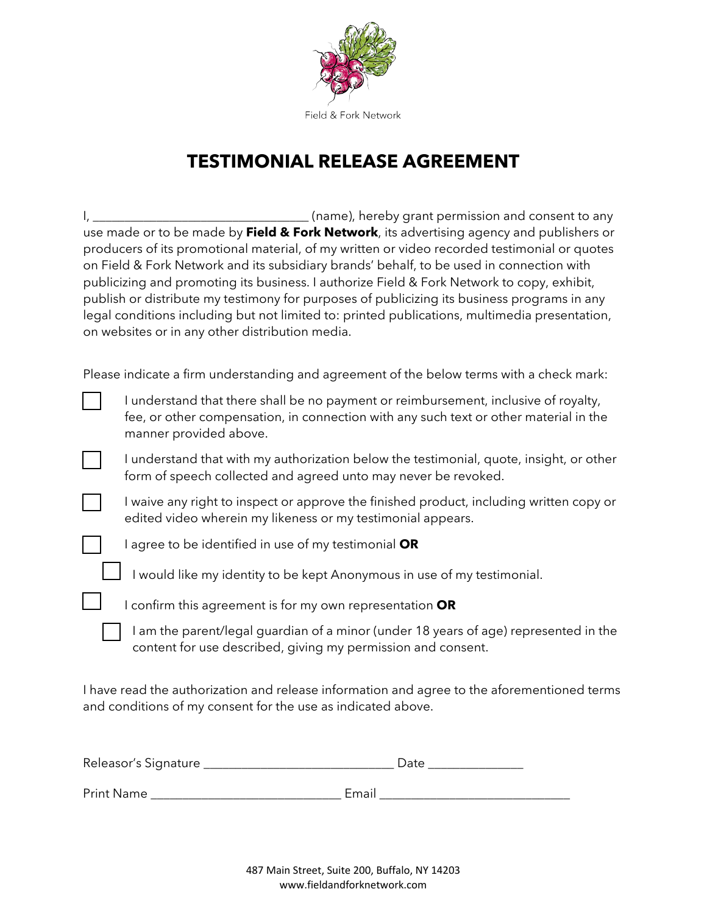

## **TESTIMONIAL RELEASE AGREEMENT**

| (name), hereby grant permission and consent to any                                                                                                                                                                                                                                                                                                                                                                                                                                                                                                                                                                                    |
|---------------------------------------------------------------------------------------------------------------------------------------------------------------------------------------------------------------------------------------------------------------------------------------------------------------------------------------------------------------------------------------------------------------------------------------------------------------------------------------------------------------------------------------------------------------------------------------------------------------------------------------|
| use made or to be made by Field & Fork Network, its advertising agency and publishers or<br>producers of its promotional material, of my written or video recorded testimonial or quotes<br>on Field & Fork Network and its subsidiary brands' behalf, to be used in connection with<br>publicizing and promoting its business. I authorize Field & Fork Network to copy, exhibit,<br>publish or distribute my testimony for purposes of publicizing its business programs in any<br>legal conditions including but not limited to: printed publications, multimedia presentation,<br>on websites or in any other distribution media. |
| Please indicate a firm understanding and agreement of the below terms with a check mark:                                                                                                                                                                                                                                                                                                                                                                                                                                                                                                                                              |
| I understand that there shall be no payment or reimbursement, inclusive of royalty,<br>fee, or other compensation, in connection with any such text or other material in the<br>manner provided above.                                                                                                                                                                                                                                                                                                                                                                                                                                |
| I understand that with my authorization below the testimonial, quote, insight, or other<br>form of speech collected and agreed unto may never be revoked.                                                                                                                                                                                                                                                                                                                                                                                                                                                                             |

I waive any right to inspect or approve the finished product, including written copy or edited video wherein my likeness or my testimonial appears.

I agree to be identified in use of my testimonial **OR**

 $\Box$  I would like my identity to be kept Anonymous in use of my testimonial.

I confirm this agreement is for my own representation **OR**

I am the parent/legal guardian of a minor (under 18 years of age) represented in the content for use described, giving my permission and consent.

I have read the authorization and release information and agree to the aforementioned terms and conditions of my consent for the use as indicated above.

| Releasor's Signature |  |
|----------------------|--|
|                      |  |

Print Name \_\_\_\_\_\_\_\_\_\_\_\_\_\_\_\_\_\_\_\_\_\_\_\_\_\_\_\_\_\_ Email \_\_\_\_\_\_\_\_\_\_\_\_\_\_\_\_\_\_\_\_\_\_\_\_\_\_\_\_\_\_